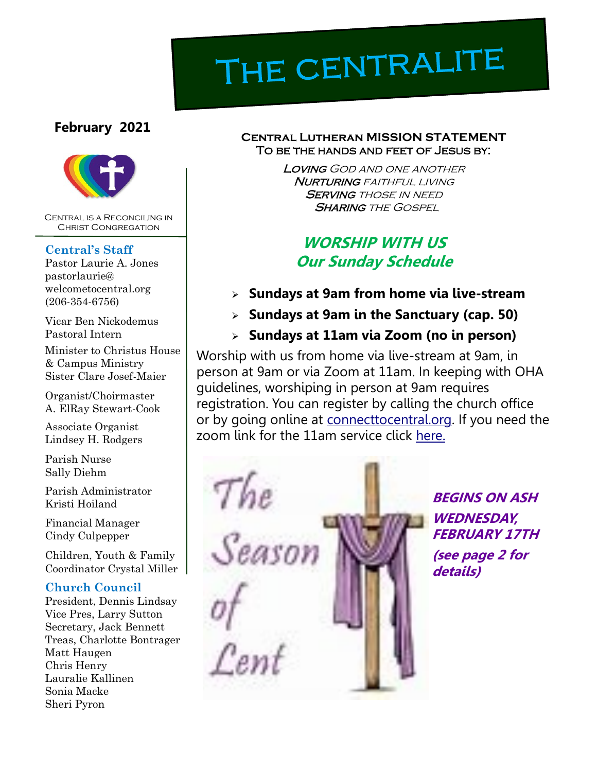# THE CENTRALITE

#### **February 2021**



Central is a Reconciling in Christ Congregation

#### **Central's Staff**

Pastor Laurie A. Jones pastorlaurie@ welcometocentral.org (206-354-6756)

Vicar Ben Nickodemus Pastoral Intern

Minister to Christus House & Campus Ministry Sister Clare Josef-Maier

Organist/Choirmaster A. ElRay Stewart-Cook

Associate Organist Lindsey H. Rodgers

Parish Nurse Sally Diehm

Parish Administrator Kristi Hoiland

Financial Manager Cindy Culpepper

Children, Youth & Family Coordinator Crystal Miller

#### **Church Council**

President, Dennis Lindsay Vice Pres, Larry Sutton Secretary, Jack Bennett Treas, Charlotte Bontrager Matt Haugen Chris Henry Lauralie Kallinen Sonia Macke Sheri Pyron

#### **Central Lutheran MISSION STATEMENT** To be the hands and feet of Jesus by:

Loving God and one another **NURTURING** FAITHFUL LIVING **SERVING THOSE IN NEED SHARING THE GOSPEL** 

## **WORSHIP WITH US Our Sunday Schedule**

- ➢ **Sundays at 9am from home via live-stream**
- ➢ **Sundays at 9am in the Sanctuary (cap. 50)**
- ➢ **Sundays at 11am via Zoom (no in person)**

Worship with us from home via live-stream at 9am, in person at 9am or via Zoom at 11am. In keeping with OHA guidelines, worshiping in person at 9am requires registration. You can register by calling the church office or by going online at [connecttocentral.org.](connecttocentral.org) If you need the zoom link for the 11am service click [here.](mailto:pastorlaurie@welcometocentral.org?subject=Please%20send%20me%20the%20Zoom%20Link%20for%2011am%20Worship) 



**BEGINS ON ASH WEDNESDAY, FEBRUARY 17TH (see page 2 for details)**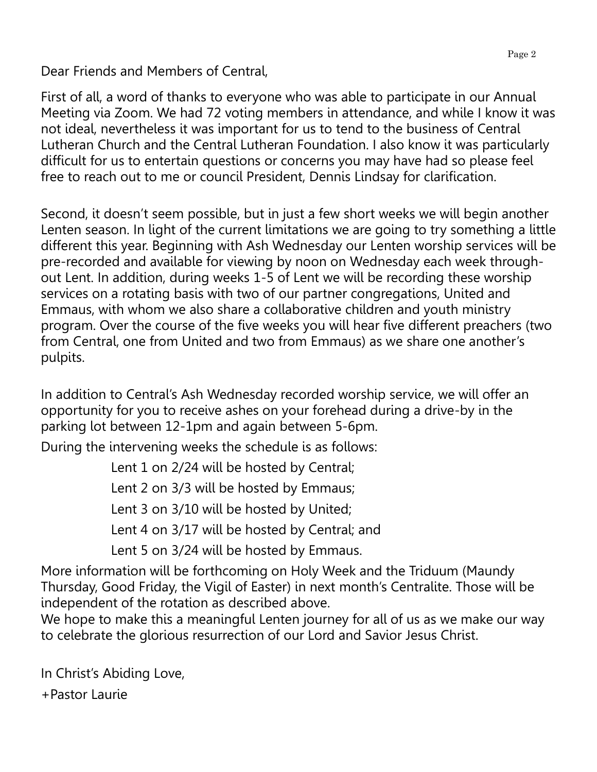Dear Friends and Members of Central,

First of all, a word of thanks to everyone who was able to participate in our Annual Meeting via Zoom. We had 72 voting members in attendance, and while I know it was not ideal, nevertheless it was important for us to tend to the business of Central Lutheran Church and the Central Lutheran Foundation. I also know it was particularly difficult for us to entertain questions or concerns you may have had so please feel free to reach out to me or council President, Dennis Lindsay for clarification.

Second, it doesn't seem possible, but in just a few short weeks we will begin another Lenten season. In light of the current limitations we are going to try something a little different this year. Beginning with Ash Wednesday our Lenten worship services will be pre-recorded and available for viewing by noon on Wednesday each week throughout Lent. In addition, during weeks 1-5 of Lent we will be recording these worship services on a rotating basis with two of our partner congregations, United and Emmaus, with whom we also share a collaborative children and youth ministry program. Over the course of the five weeks you will hear five different preachers (two from Central, one from United and two from Emmaus) as we share one another's pulpits.

In addition to Central's Ash Wednesday recorded worship service, we will offer an opportunity for you to receive ashes on your forehead during a drive-by in the parking lot between 12-1pm and again between 5-6pm.

During the intervening weeks the schedule is as follows:

Lent 1 on 2/24 will be hosted by Central; Lent 2 on 3/3 will be hosted by Emmaus; Lent 3 on 3/10 will be hosted by United; Lent 4 on 3/17 will be hosted by Central; and Lent 5 on 3/24 will be hosted by Emmaus.

More information will be forthcoming on Holy Week and the Triduum (Maundy Thursday, Good Friday, the Vigil of Easter) in next month's Centralite. Those will be independent of the rotation as described above.

We hope to make this a meaningful Lenten journey for all of us as we make our way to celebrate the glorious resurrection of our Lord and Savior Jesus Christ.

In Christ's Abiding Love,

+Pastor Laurie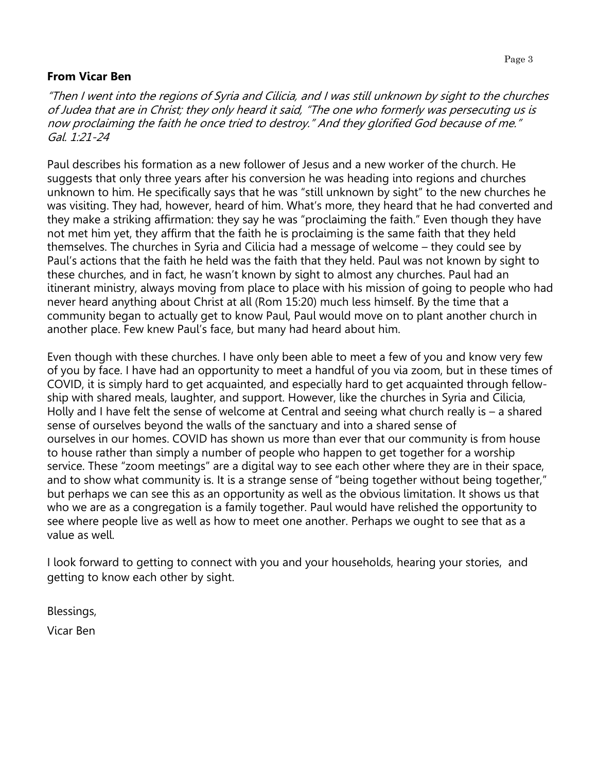#### **From Vicar Ben**

"Then I went into the regions of Syria and Cilicia, and I was still unknown by sight to the churches of Judea that are in Christ; they only heard it said, "The one who formerly was persecuting us is now proclaiming the faith he once tried to destroy." And they glorified God because of me." Gal.  $1:21-24$ 

Paul describes his formation as a new follower of Jesus and a new worker of the church. He suggests that only three years after his conversion he was heading into regions and churches unknown to him. He specifically says that he was "still unknown by sight" to the new churches he was visiting. They had, however, heard of him. What's more, they heard that he had converted and they make a striking affirmation: they say he was "proclaiming the faith." Even though they have not met him yet, they affirm that the faith he is proclaiming is the same faith that they held themselves. The churches in Syria and Cilicia had a message of welcome – they could see by Paul's actions that the faith he held was the faith that they held. Paul was not known by sight to these churches, and in fact, he wasn't known by sight to almost any churches. Paul had an itinerant ministry, always moving from place to place with his mission of going to people who had never heard anything about Christ at all (Rom 15:20) much less himself. By the time that a community began to actually get to know Paul, Paul would move on to plant another church in another place. Few knew Paul's face, but many had heard about him.

Even though with these churches. I have only been able to meet a few of you and know very few of you by face. I have had an opportunity to meet a handful of you via zoom, but in these times of COVID, it is simply hard to get acquainted, and especially hard to get acquainted through fellowship with shared meals, laughter, and support. However, like the churches in Syria and Cilicia, Holly and I have felt the sense of welcome at Central and seeing what church really is – a shared sense of ourselves beyond the walls of the sanctuary and into a shared sense of ourselves in our homes. COVID has shown us more than ever that our community is from house to house rather than simply a number of people who happen to get together for a worship service. These "zoom meetings" are a digital way to see each other where they are in their space, and to show what community is. It is a strange sense of "being together without being together," but perhaps we can see this as an opportunity as well as the obvious limitation. It shows us that who we are as a congregation is a family together. Paul would have relished the opportunity to see where people live as well as how to meet one another. Perhaps we ought to see that as a value as well.

I look forward to getting to connect with you and your households, hearing your stories, and getting to know each other by sight.

Blessings,

Vicar Ben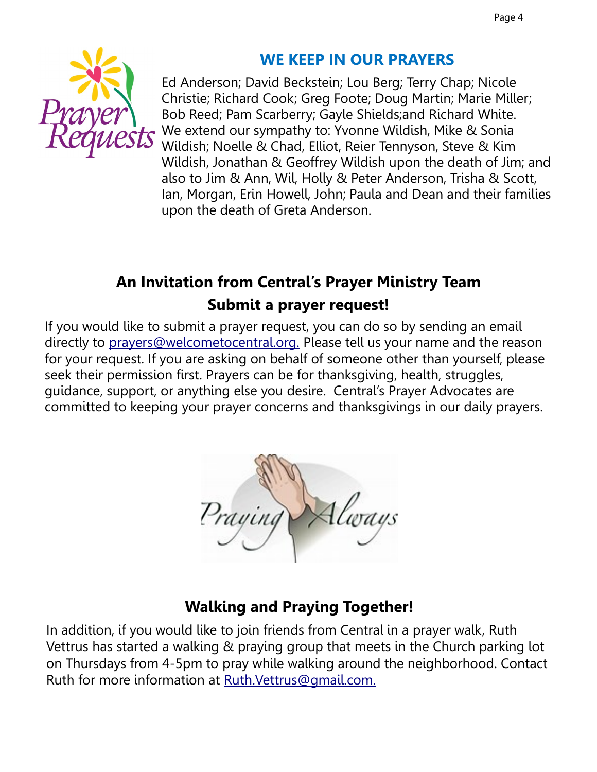

# **WE KEEP IN OUR PRAYERS**

Ed Anderson; David Beckstein; Lou Berg; Terry Chap; Nicole Christie; Richard Cook; Greg Foote; Doug Martin; Marie Miller; Bob Reed; Pam Scarberry; Gayle Shields;and Richard White. We extend our sympathy to: Yvonne Wildish, Mike & Sonia Wildish; Noelle & Chad, Elliot, Reier Tennyson, Steve & Kim Wildish, Jonathan & Geoffrey Wildish upon the death of Jim; and also to Jim & Ann, Wil, Holly & Peter Anderson, Trisha & Scott, Ian, Morgan, Erin Howell, John; Paula and Dean and their families upon the death of Greta Anderson.

# **An Invitation from Central's Prayer Ministry Team Submit a prayer request!**

If you would like to submit a prayer request, you can do so by sending an email directly to [prayers@welcometocentral.org.](mailto:prayers@welcometocentral.org) Please tell us your name and the reason for your request. If you are asking on behalf of someone other than yourself, please seek their permission first. Prayers can be for thanksgiving, health, struggles, guidance, support, or anything else you desire. Central's Prayer Advocates are committed to keeping your prayer concerns and thanksgivings in our daily prayers.



## **Walking and Praying Together!**

In addition, if you would like to join friends from Central in a prayer walk, Ruth Vettrus has started a walking & praying group that meets in the Church parking lot on Thursdays from 4-5pm to pray while walking around the neighborhood. Contact Ruth for more information at [Ruth.Vettrus@gmail.com.](mailto:RuthVettrus@gmail.com)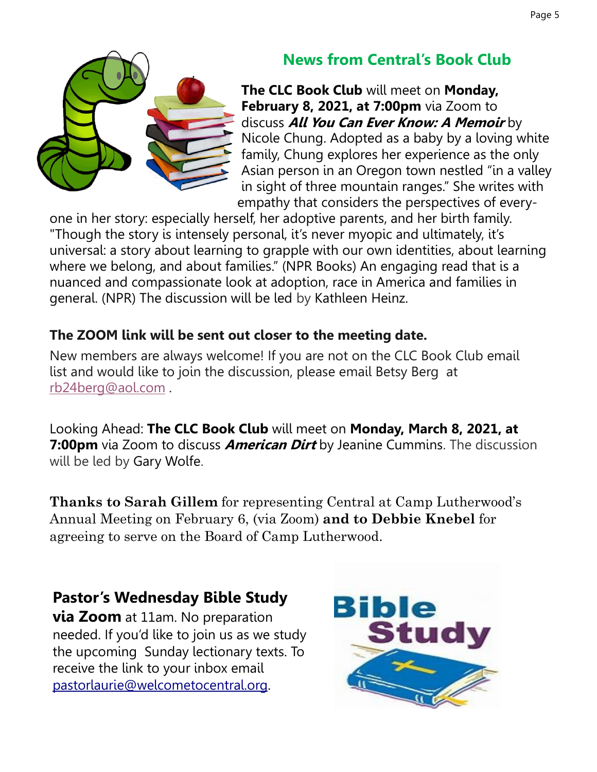

# **News from Central's Book Club**

**The CLC Book Club** will meet on **Monday, February 8, 2021, at 7:00pm** via Zoom to discuss **All You Can Ever Know: A Memoir** by Nicole Chung. Adopted as a baby by a loving white family, Chung explores her experience as the only Asian person in an Oregon town nestled "in a valley in sight of three mountain ranges." She writes with empathy that considers the perspectives of every-

one in her story: especially herself, her adoptive parents, and her birth family. "Though the story is intensely personal, it's never myopic and ultimately, it's universal: a story about learning to grapple with our own identities, about learning where we belong, and about families." (NPR Books) An engaging read that is a nuanced and compassionate look at adoption, race in America and families in general. (NPR) The discussion will be led by Kathleen Heinz.

## **The ZOOM link will be sent out closer to the meeting date.**

New members are always welcome! If you are not on the CLC Book Club email list and would like to join the discussion, please email Betsy Berg at [rb24berg@aol.com](mailto:rb24berg@aol.com) .

Looking Ahead: **The CLC Book Club** will meet on **Monday, March 8, 2021, at 7:00pm** via Zoom to discuss **American Dirt** by Jeanine Cummins. The discussion will be led by Gary Wolfe.

**Thanks to Sarah Gillem** for representing Central at Camp Lutherwood's Annual Meeting on February 6, (via Zoom) **and to Debbie Knebel** for agreeing to serve on the Board of Camp Lutherwood.

## **Pastor's Wednesday Bible Study**

**via Zoom** at 11am. No preparation needed. If you'd like to join us as we study the upcoming Sunday lectionary texts. To receive the link to your inbox email [pastorlaurie@welcometocentral.org.](mailto:pastorlaurie@welcometocentral.org?subject=Send%20me%20the%20Zoom%20Link%20for%20Bible%20Study)

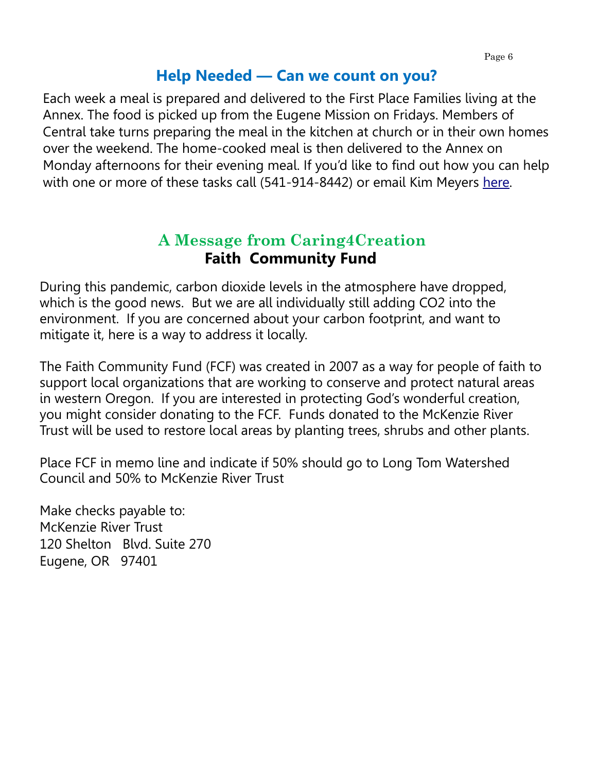## **Help Needed — Can we count on you?**

Each week a meal is prepared and delivered to the First Place Families living at the Annex. The food is picked up from the Eugene Mission on Fridays. Members of Central take turns preparing the meal in the kitchen at church or in their own homes over the weekend. The home-cooked meal is then delivered to the Annex on Monday afternoons for their evening meal. If you'd like to find out how you can help with one or more of these tasks call (541-914-8442) or email Kim Meyers [here.](mailto:kimcpa.meyers@gmail.com?subject=Help%20with%20First%20Place%20Family%20Meal) 

## **A Message from Caring4Creation Faith Community Fund**

During this pandemic, carbon dioxide levels in the atmosphere have dropped, which is the good news. But we are all individually still adding CO2 into the environment. If you are concerned about your carbon footprint, and want to mitigate it, here is a way to address it locally.

The Faith Community Fund (FCF) was created in 2007 as a way for people of faith to support local organizations that are working to conserve and protect natural areas in western Oregon. If you are interested in protecting God's wonderful creation, you might consider donating to the FCF. Funds donated to the McKenzie River Trust will be used to restore local areas by planting trees, shrubs and other plants.

Place FCF in memo line and indicate if 50% should go to Long Tom Watershed Council and 50% to McKenzie River Trust

Make checks payable to: McKenzie River Trust 120 Shelton Blvd. Suite 270 Eugene, OR 97401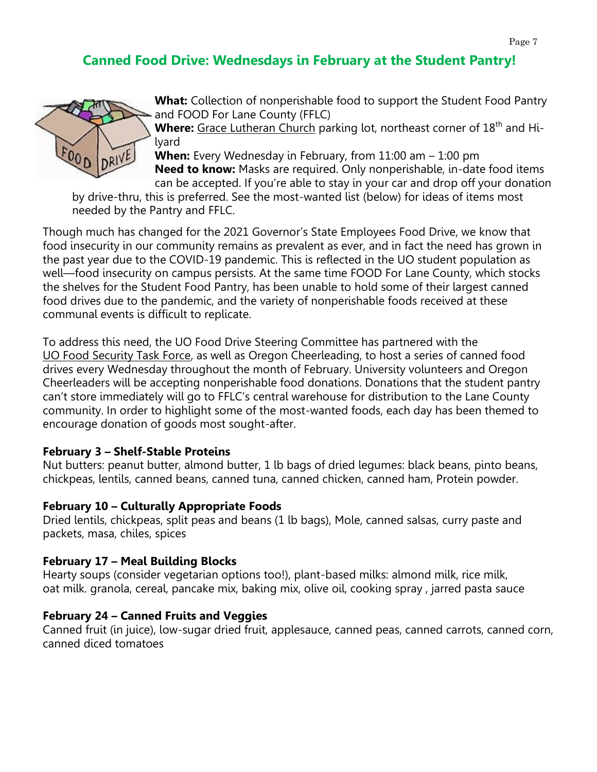## **Canned Food Drive: Wednesdays in February at the Student Pantry!**



**What:** Collection of nonperishable food to support the Student Food Pantry and FOOD For Lane County (FFLC)

Where: [Grace Lutheran Church](https://urldefense.com/v3/__https:/goo.gl/maps/FAyKgBHk6cobWQZ58__;!!C5qS4YX3!RVIRs6Gx0ORDLQ0gcJg6iJgEEw4VZDQjuQQ5sDDR9hVtX49-EylBwyPsulB7PGs$) parking lot, northeast corner of 18<sup>th</sup> and Hilyard

**When:** Every Wednesday in February, from 11:00 am – 1:00 pm **Need to know:** Masks are required. Only nonperishable, in-date food items can be accepted. If you're able to stay in your car and drop off your donation

by drive-thru, this is preferred. See the most-wanted list (below) for ideas of items most needed by the Pantry and FFLC.

Though much has changed for the 2021 Governor's State Employees Food Drive, we know that food insecurity in our community remains as prevalent as ever, and in fact the need has grown in the past year due to the COVID-19 pandemic. This is reflected in the UO student population as well—food insecurity on campus persists. At the same time FOOD For Lane County, which stocks the shelves for the Student Food Pantry, has been unable to hold some of their largest canned food drives due to the pandemic, and the variety of nonperishable foods received at these communal events is difficult to replicate.

To address this need, the UO Food Drive Steering Committee has partnered with the [UO Food Security Task Force,](https://dos.uoregon.edu/food) as well as Oregon Cheerleading, to host a series of canned food drives every Wednesday throughout the month of February. University volunteers and Oregon Cheerleaders will be accepting nonperishable food donations. Donations that the student pantry can't store immediately will go to FFLC's central warehouse for distribution to the Lane County community. In order to highlight some of the most-wanted foods, each day has been themed to encourage donation of goods most sought-after.

#### **February 3 – Shelf-Stable Proteins**

Nut butters: peanut butter, almond butter, 1 lb bags of dried legumes: black beans, pinto beans, chickpeas, lentils, canned beans, canned tuna, canned chicken, canned ham, Protein powder.

#### **February 10 – Culturally Appropriate Foods**

Dried lentils, chickpeas, split peas and beans (1 lb bags), Mole, canned salsas, curry paste and packets, masa, chiles, spices

#### **February 17 – Meal Building Blocks**

Hearty soups (consider vegetarian options too!), plant-based milks: almond milk, rice milk, oat milk. granola, cereal, pancake mix, baking mix, olive oil, cooking spray , jarred pasta sauce

#### **February 24 – Canned Fruits and Veggies**

Canned fruit (in juice), low-sugar dried fruit, applesauce, canned peas, canned carrots, canned corn, canned diced tomatoes